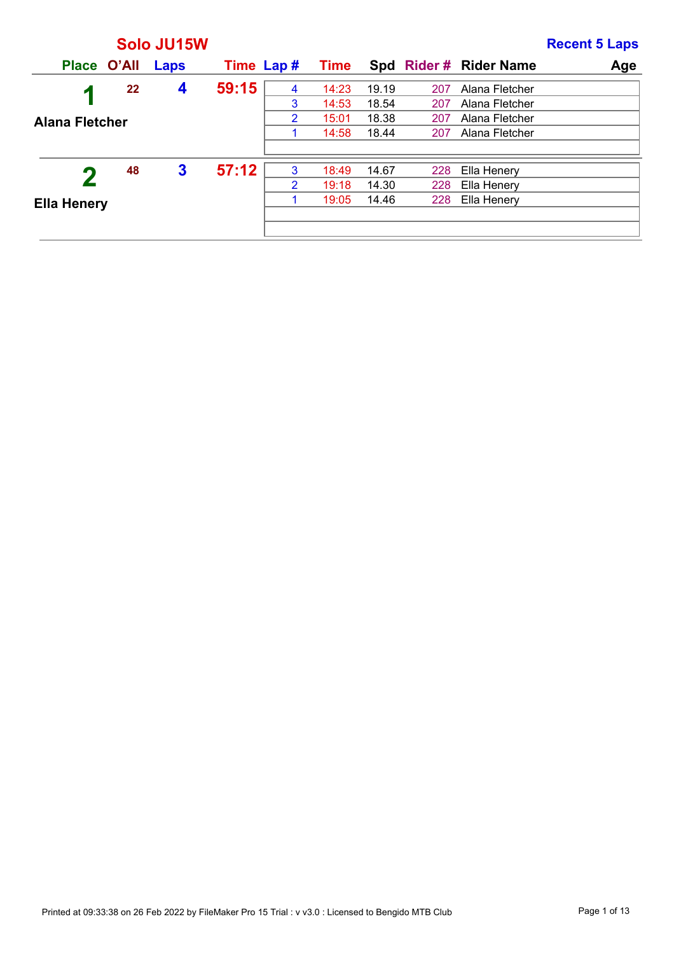|                       |             | Solo JU15W   |            |                |             |       |     |                       | <b>Recent 5 Laps</b> |
|-----------------------|-------------|--------------|------------|----------------|-------------|-------|-----|-----------------------|----------------------|
|                       | Place O'All | Laps         | Time Lap # |                | <b>Time</b> |       |     | Spd Rider# Rider Name | Age                  |
| И                     | 22          | 4            | 59:15      | 4              | 14:23       | 19.19 | 207 | Alana Fletcher        |                      |
|                       |             |              |            | 3              | 14:53       | 18.54 | 207 | Alana Fletcher        |                      |
| <b>Alana Fletcher</b> |             |              |            | 2              | 15:01       | 18.38 | 207 | Alana Fletcher        |                      |
|                       |             |              |            |                | 14:58       | 18.44 | 207 | Alana Fletcher        |                      |
|                       |             |              |            |                |             |       |     |                       |                      |
|                       | 48          | $\mathbf{3}$ | 57:12      | 3              | 18:49       | 14.67 | 228 | Ella Henery           |                      |
|                       |             |              |            | $\overline{2}$ | 19:18       | 14.30 | 228 | Ella Henery           |                      |
| <b>Ella Henery</b>    |             |              |            |                | 19:05       | 14.46 | 228 | Ella Henery           |                      |
|                       |             |              |            |                |             |       |     |                       |                      |
|                       |             |              |            |                |             |       |     |                       |                      |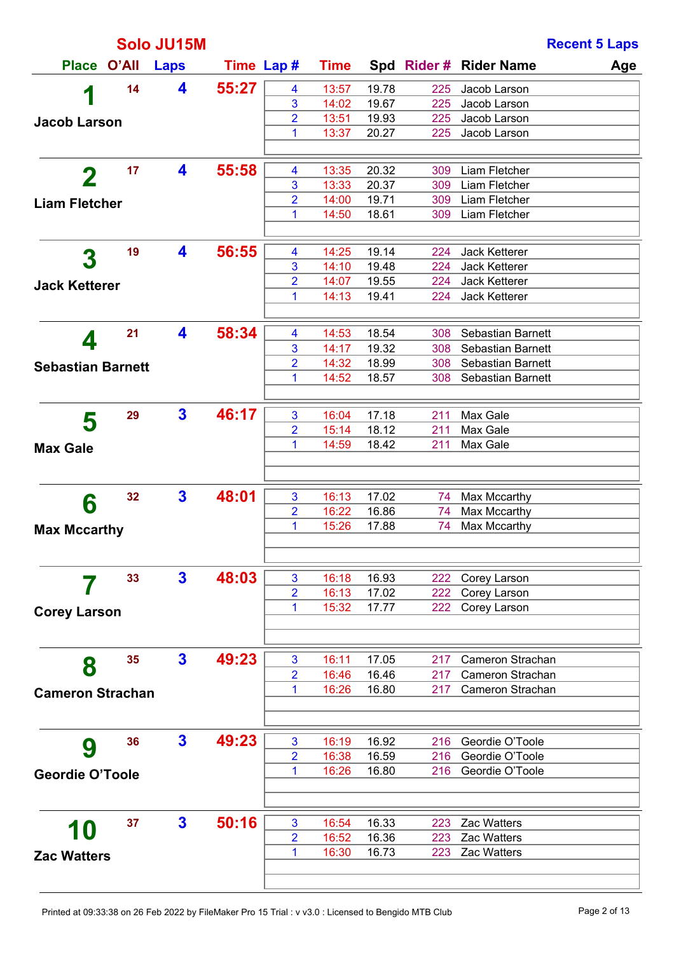|                          |    | Solo JU15M   |            |                     |                |                |            | <b>Recent 5 Laps</b>                   |  |
|--------------------------|----|--------------|------------|---------------------|----------------|----------------|------------|----------------------------------------|--|
| Place O'All              |    | <b>Laps</b>  | Time Lap # |                     | <b>Time</b>    |                |            | Spd Rider # Rider Name<br>Age          |  |
| 1                        | 14 | 4            | 55:27      | 4                   | 13:57          | 19.78          | 225        | Jacob Larson                           |  |
|                          |    |              |            | 3                   | 14:02          | 19.67          | 225        | Jacob Larson                           |  |
| <b>Jacob Larson</b>      |    |              |            | $\overline{2}$      | 13:51          | 19.93          | 225        | Jacob Larson                           |  |
|                          |    |              |            | 1                   | 13:37          | 20.27          | 225        | Jacob Larson                           |  |
|                          | 17 | 4            | 55:58      | 4                   | 13:35          | 20.32          | 309        | Liam Fletcher                          |  |
| $\mathbf 2$              |    |              |            | 3                   | 13:33          | 20.37          | 309        | Liam Fletcher                          |  |
| <b>Liam Fletcher</b>     |    |              |            | 2                   | 14:00          | 19.71          | 309        | Liam Fletcher                          |  |
|                          |    |              |            | 1                   | 14:50          | 18.61          | 309        | Liam Fletcher                          |  |
|                          | 19 | 4            | 56:55      | 4                   | 14:25          | 19.14          | 224        | Jack Ketterer                          |  |
| 3                        |    |              |            | 3                   | 14:10          | 19.48          | 224        | Jack Ketterer                          |  |
| <b>Jack Ketterer</b>     |    |              |            | $\overline{2}$      | 14:07          | 19.55          | 224        | Jack Ketterer                          |  |
|                          |    |              |            | 1                   | 14:13          | 19.41          | 224        | Jack Ketterer                          |  |
|                          |    |              |            |                     |                |                |            |                                        |  |
| 4                        | 21 | 4            | 58:34      | 4                   | 14:53          | 18.54          | 308        | Sebastian Barnett                      |  |
|                          |    |              |            | 3<br>$\overline{2}$ | 14:17<br>14:32 | 19.32<br>18.99 | 308<br>308 | Sebastian Barnett<br>Sebastian Barnett |  |
| <b>Sebastian Barnett</b> |    |              |            | 1                   | 14:52          | 18.57          | 308        | Sebastian Barnett                      |  |
|                          |    |              |            |                     |                |                |            |                                        |  |
| 5                        | 29 | $\mathbf{3}$ | 46:17      | 3                   | 16:04          | 17.18          | 211        | Max Gale                               |  |
|                          |    |              |            | 2                   | 15:14          | 18.12          | 211        | Max Gale                               |  |
| <b>Max Gale</b>          |    |              |            | 1                   | 14:59          | 18.42          | 211        | Max Gale                               |  |
|                          |    |              |            |                     |                |                |            |                                        |  |
| 6                        | 32 | $\mathbf{3}$ | 48:01      | 3                   | 16:13          | 17.02          | 74         | Max Mccarthy                           |  |
|                          |    |              |            | 2                   | 16:22          | 16.86          | 74         | Max Mccarthy                           |  |
| <b>Max Mccarthy</b>      |    |              |            | 1                   | 15:26          | 17.88          | 74         | Max Mccarthy                           |  |
|                          |    |              |            |                     |                |                |            |                                        |  |
|                          | 33 | $\mathbf{3}$ | 48:03      | 3                   | 16:18          | 16.93          | 222        | Corey Larson                           |  |
|                          |    |              |            | 2                   | 16:13          | 17.02          | 222        | Corey Larson                           |  |
| <b>Corey Larson</b>      |    |              |            | 1                   | 15:32          | 17.77          | 222        | Corey Larson                           |  |
|                          |    |              |            |                     |                |                |            |                                        |  |
|                          | 35 | $\mathbf{3}$ | 49:23      | 3                   | 16:11          | 17.05          | 217        | Cameron Strachan                       |  |
| 8                        |    |              |            | 2                   | 16:46          | 16.46          | 217        | Cameron Strachan                       |  |
| <b>Cameron Strachan</b>  |    |              |            | 1                   | 16:26          | 16.80          | 217        | Cameron Strachan                       |  |
|                          |    |              |            |                     |                |                |            |                                        |  |
|                          | 36 | $\mathbf{3}$ | 49:23      | 3                   | 16:19          | 16.92          | 216        | Geordie O'Toole                        |  |
| 9                        |    |              |            | 2                   | 16:38          | 16.59          | 216        | Geordie O'Toole                        |  |
| <b>Geordie O'Toole</b>   |    |              |            | 1                   | 16:26          | 16.80          | 216        | Geordie O'Toole                        |  |
|                          |    |              |            |                     |                |                |            |                                        |  |
|                          | 37 | $\mathbf{3}$ | 50:16      | 3                   | 16:54          | 16.33          | 223        | <b>Zac Watters</b>                     |  |
| 10                       |    |              |            | 2                   | 16:52          | 16.36          |            | 223 Zac Watters                        |  |
| <b>Zac Watters</b>       |    |              |            | 1                   | 16:30          | 16.73          |            | 223 Zac Watters                        |  |
|                          |    |              |            |                     |                |                |            |                                        |  |
|                          |    |              |            |                     |                |                |            |                                        |  |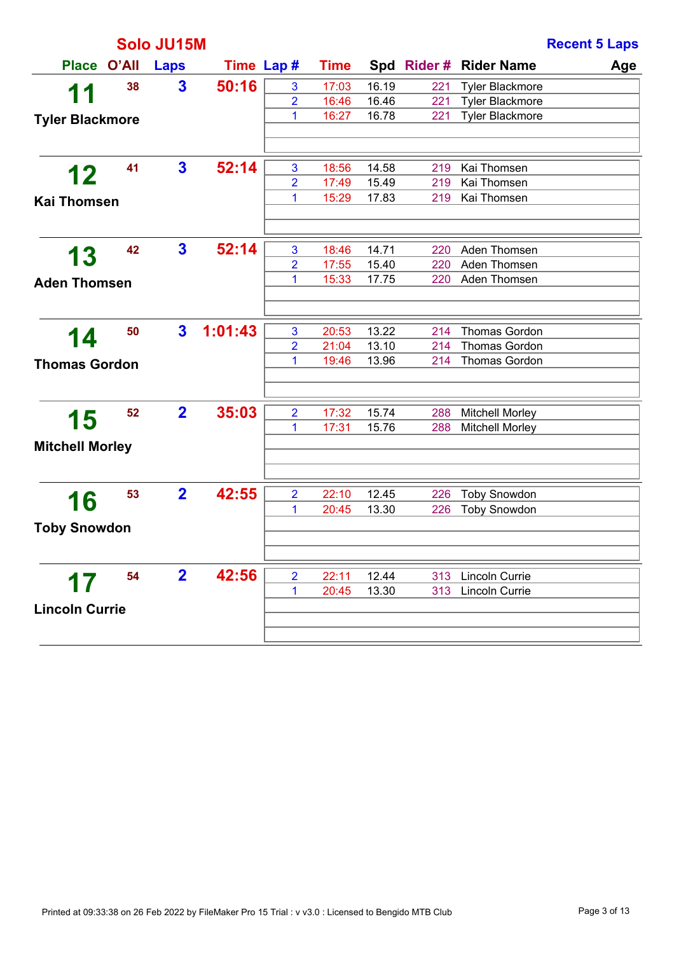|                        |       | Solo JU15M              |            |                     |                |                |            |                              | <b>Recent 5 Laps</b> |
|------------------------|-------|-------------------------|------------|---------------------|----------------|----------------|------------|------------------------------|----------------------|
| <b>Place</b>           | O'All | Laps                    | Time Lap # |                     | <b>Time</b>    |                |            | Spd Rider # Rider Name       | Age                  |
| 11                     | 38    | $\overline{\mathbf{3}}$ | 50:16      | 3                   | 17:03          | 16.19          | 221        | <b>Tyler Blackmore</b>       |                      |
|                        |       |                         |            | $\overline{2}$      | 16:46          | 16.46          | 221        | <b>Tyler Blackmore</b>       |                      |
| <b>Tyler Blackmore</b> |       |                         |            | 1                   | 16:27          | 16.78          | 221        | <b>Tyler Blackmore</b>       |                      |
|                        |       |                         |            |                     |                |                |            |                              |                      |
| 12                     | 41    | $\mathbf{3}$            | 52:14      | $\mathbf{3}$        | 18:56          | 14.58          | 219        | Kai Thomsen                  |                      |
|                        |       |                         |            | $\overline{2}$      | 17:49          | 15.49          | 219        | Kai Thomsen                  |                      |
| <b>Kai Thomsen</b>     |       |                         |            | 1                   | 15:29          | 17.83          | 219        | Kai Thomsen                  |                      |
|                        |       |                         |            |                     |                |                |            |                              |                      |
| 13                     | 42    | $\mathbf{3}$            | 52:14      | 3<br>$\overline{2}$ | 18:46<br>17:55 | 14.71          | 220<br>220 | Aden Thomsen<br>Aden Thomsen |                      |
|                        |       |                         |            | 1                   | 15:33          | 15.40<br>17.75 | 220        | Aden Thomsen                 |                      |
| <b>Aden Thomsen</b>    |       |                         |            |                     |                |                |            |                              |                      |
|                        | 50    | $\mathbf{3}$            | 1:01:43    | 3                   | 20:53          | 13.22          | 214        | <b>Thomas Gordon</b>         |                      |
| 14                     |       |                         |            | $\overline{2}$      | 21:04          | 13.10          | 214        | <b>Thomas Gordon</b>         |                      |
| <b>Thomas Gordon</b>   |       |                         |            | 1                   | 19:46          | 13.96          | 214        | <b>Thomas Gordon</b>         |                      |
|                        |       |                         |            |                     |                |                |            |                              |                      |
| 15                     | 52    | $\overline{\mathbf{2}}$ | 35:03      | $\overline{2}$      | 17:32          | 15.74          | 288        | <b>Mitchell Morley</b>       |                      |
| <b>Mitchell Morley</b> |       |                         |            | 1                   | 17:31          | 15.76          | 288        | <b>Mitchell Morley</b>       |                      |
|                        |       |                         |            |                     |                |                |            |                              |                      |
|                        | 53    | $\overline{\mathbf{2}}$ | 42:55      | $\overline{2}$      | 22:10          | 12.45          | 226        | <b>Toby Snowdon</b>          |                      |
| 16                     |       |                         |            | 1                   | 20:45          | 13.30          | 226        | <b>Toby Snowdon</b>          |                      |
| <b>Toby Snowdon</b>    |       |                         |            |                     |                |                |            |                              |                      |
|                        |       |                         |            |                     |                |                |            |                              |                      |
| 17                     | 54    | $\mathbf{2}$            | 42:56      | $\overline{2}$      | 22:11          | 12.44          | 313        | Lincoln Currie               |                      |
|                        |       |                         |            | 1                   | 20:45          | 13.30          | 313        | <b>Lincoln Currie</b>        |                      |
| <b>Lincoln Currie</b>  |       |                         |            |                     |                |                |            |                              |                      |
|                        |       |                         |            |                     |                |                |            |                              |                      |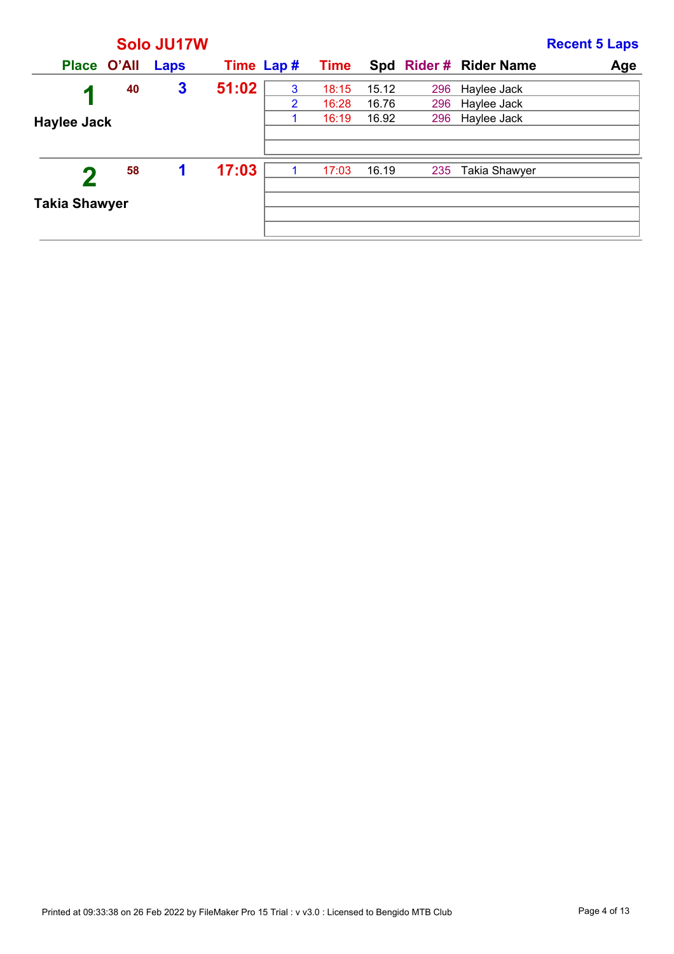|                      |    | Solo JU17W       |            |   |             |       |     |                       | <b>Recent 5 Laps</b> |
|----------------------|----|------------------|------------|---|-------------|-------|-----|-----------------------|----------------------|
| Place O'All          |    | Laps             | Time Lap # |   | <b>Time</b> |       |     | Spd Rider# Rider Name | Age                  |
| $\mathcal T$         | 40 | $\boldsymbol{3}$ | 51:02      | 3 | 18:15       | 15.12 | 296 | Haylee Jack           |                      |
|                      |    |                  |            | 2 | 16:28       | 16.76 | 296 | Haylee Jack           |                      |
| Haylee Jack          |    |                  |            |   | 16:19       | 16.92 | 296 | Haylee Jack           |                      |
|                      |    |                  |            |   |             |       |     |                       |                      |
|                      | 58 | 1                | 17:03      |   | 17:03       | 16.19 | 235 | Takia Shawyer         |                      |
| <b>Takia Shawyer</b> |    |                  |            |   |             |       |     |                       |                      |
|                      |    |                  |            |   |             |       |     |                       |                      |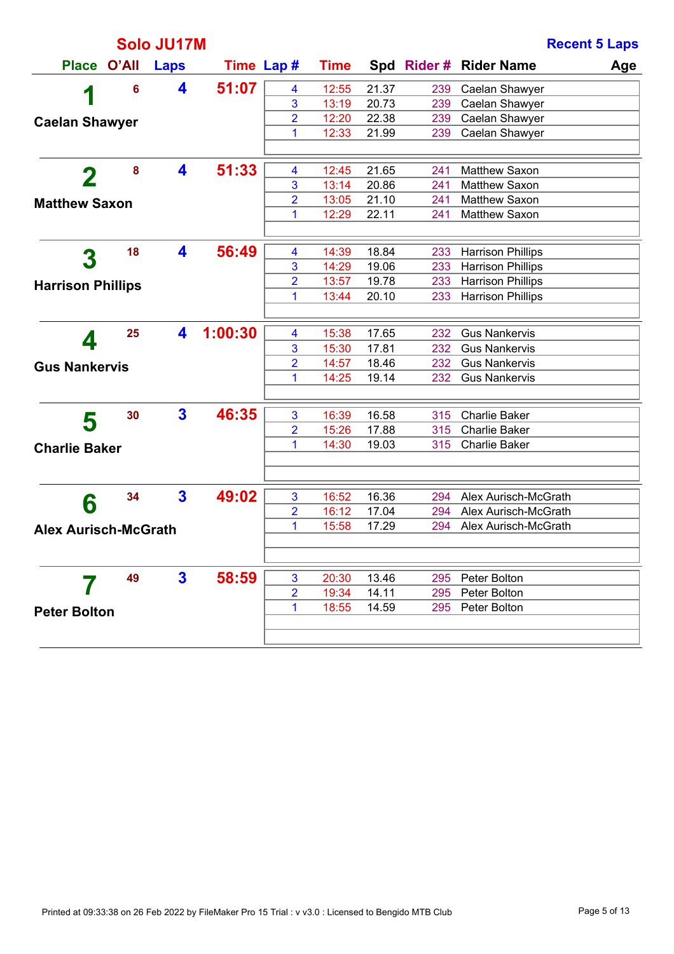|                             |          | Solo JU17M   |            |                         |             |       |     |                          | <b>Recent 5 Laps</b> |
|-----------------------------|----------|--------------|------------|-------------------------|-------------|-------|-----|--------------------------|----------------------|
| Place O'All                 |          | Laps         | Time Lap # |                         | <b>Time</b> |       |     | Spd Rider # Rider Name   | Age                  |
| И                           | 6        | 4            | 51:07      | $\overline{\mathbf{4}}$ | 12:55       | 21.37 | 239 | Caelan Shawyer           |                      |
|                             |          |              |            | 3                       | 13:19       | 20.73 | 239 | Caelan Shawyer           |                      |
| <b>Caelan Shawyer</b>       |          |              |            | $\overline{2}$          | 12:20       | 22.38 | 239 | Caelan Shawyer           |                      |
|                             |          |              |            | 1                       | 12:33       | 21.99 | 239 | Caelan Shawyer           |                      |
|                             |          |              |            |                         |             |       |     |                          |                      |
| $\mathbf 2$                 | $\bf{8}$ | 4            | 51:33      | $\overline{\mathbf{4}}$ | 12:45       | 21.65 | 241 | Matthew Saxon            |                      |
|                             |          |              |            | 3                       | 13:14       | 20.86 | 241 | Matthew Saxon            |                      |
| <b>Matthew Saxon</b>        |          |              |            | $\overline{2}$          | 13:05       | 21.10 | 241 | Matthew Saxon            |                      |
|                             |          |              |            | 1                       | 12:29       | 22.11 | 241 | Matthew Saxon            |                      |
|                             |          |              |            |                         |             |       |     |                          |                      |
| 3                           | 18       | 4            | 56:49      | $\overline{\mathbf{4}}$ | 14:39       | 18.84 | 233 | <b>Harrison Phillips</b> |                      |
|                             |          |              |            | 3                       | 14:29       | 19.06 | 233 | <b>Harrison Phillips</b> |                      |
| <b>Harrison Phillips</b>    |          |              |            | $\overline{2}$          | 13:57       | 19.78 | 233 | <b>Harrison Phillips</b> |                      |
|                             |          |              |            | 1                       | 13:44       | 20.10 | 233 | <b>Harrison Phillips</b> |                      |
|                             |          |              |            |                         |             |       |     |                          |                      |
|                             | 25       | 4            | 1:00:30    | $\overline{\mathbf{4}}$ | 15:38       | 17.65 | 232 | <b>Gus Nankervis</b>     |                      |
| 4                           |          |              |            | 3                       | 15:30       | 17.81 | 232 | <b>Gus Nankervis</b>     |                      |
| <b>Gus Nankervis</b>        |          |              |            | $\overline{2}$          | 14:57       | 18.46 | 232 | <b>Gus Nankervis</b>     |                      |
|                             |          |              |            | 1                       | 14:25       | 19.14 | 232 | <b>Gus Nankervis</b>     |                      |
|                             |          |              |            |                         |             |       |     |                          |                      |
| 5                           | 30       | $\mathbf{3}$ | 46:35      | $\overline{3}$          | 16:39       | 16.58 | 315 | <b>Charlie Baker</b>     |                      |
|                             |          |              |            | $\overline{2}$          | 15:26       | 17.88 | 315 | <b>Charlie Baker</b>     |                      |
| <b>Charlie Baker</b>        |          |              |            | 1                       | 14:30       | 19.03 | 315 | <b>Charlie Baker</b>     |                      |
|                             |          |              |            |                         |             |       |     |                          |                      |
|                             |          |              |            |                         |             |       |     |                          |                      |
| 6                           | 34       | $\mathbf{3}$ | 49:02      | $\overline{3}$          | 16:52       | 16.36 | 294 | Alex Aurisch-McGrath     |                      |
|                             |          |              |            | $\overline{2}$          | 16:12       | 17.04 | 294 | Alex Aurisch-McGrath     |                      |
| <b>Alex Aurisch-McGrath</b> |          |              |            | 1                       | 15:58       | 17.29 | 294 | Alex Aurisch-McGrath     |                      |
|                             |          |              |            |                         |             |       |     |                          |                      |
|                             |          |              |            |                         |             |       |     |                          |                      |
|                             | 49       | 3            | 58:59      | $\overline{3}$          | 20:30       | 13.46 | 295 | Peter Bolton             |                      |
|                             |          |              |            | $\overline{2}$          | 19:34       | 14.11 | 295 | Peter Bolton             |                      |
| <b>Peter Bolton</b>         |          |              |            | 1                       | 18:55       | 14.59 | 295 | Peter Bolton             |                      |
|                             |          |              |            |                         |             |       |     |                          |                      |
|                             |          |              |            |                         |             |       |     |                          |                      |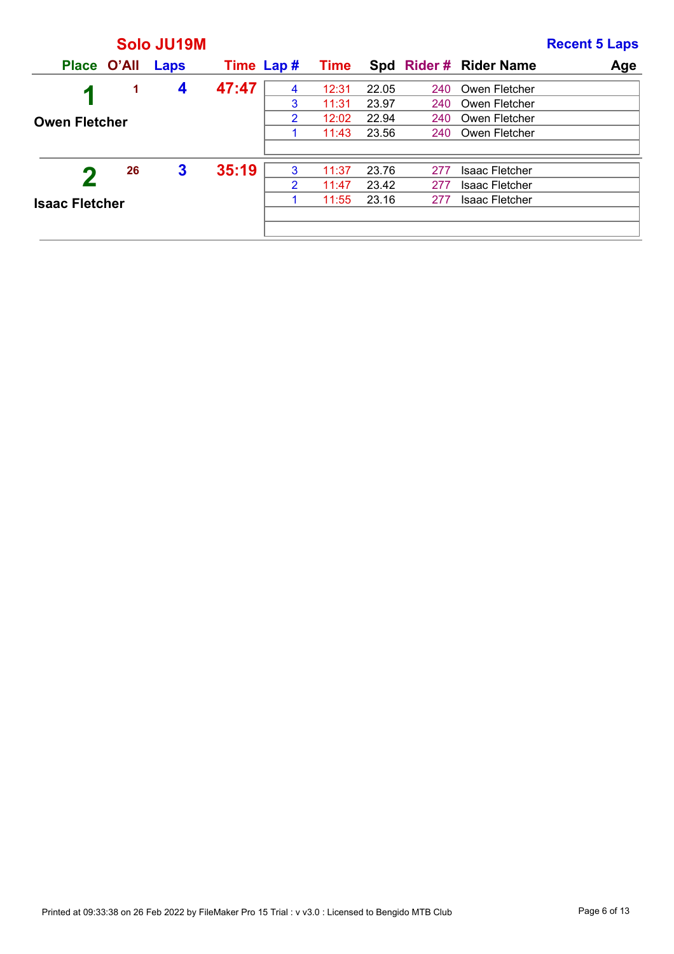|                       |             | Solo JU19M   |            |   |             |       |     |                       | <b>Recent 5 Laps</b> |
|-----------------------|-------------|--------------|------------|---|-------------|-------|-----|-----------------------|----------------------|
|                       | Place O'All | Laps         | Time Lap # |   | <b>Time</b> |       |     | Spd Rider# Rider Name | Age                  |
| и                     | 1           | 4            | 47:47      | 4 | 12:31       | 22.05 | 240 | Owen Fletcher         |                      |
|                       |             |              |            | 3 | 11:31       | 23.97 | 240 | Owen Fletcher         |                      |
| <b>Owen Fletcher</b>  |             |              |            | 2 | 12:02       | 22.94 | 240 | Owen Fletcher         |                      |
|                       |             |              |            |   | 11:43       | 23.56 | 240 | Owen Fletcher         |                      |
|                       |             |              |            |   |             |       |     |                       |                      |
|                       | 26          | $\mathbf{3}$ | 35:19      | 3 | 11:37       | 23.76 | 277 | <b>Isaac Fletcher</b> |                      |
|                       |             |              |            | 2 | 11:47       | 23.42 | 277 | <b>Isaac Fletcher</b> |                      |
| <b>Isaac Fletcher</b> |             |              |            |   | 11:55       | 23.16 | 277 | <b>Isaac Fletcher</b> |                      |
|                       |             |              |            |   |             |       |     |                       |                      |
|                       |             |              |            |   |             |       |     |                       |                      |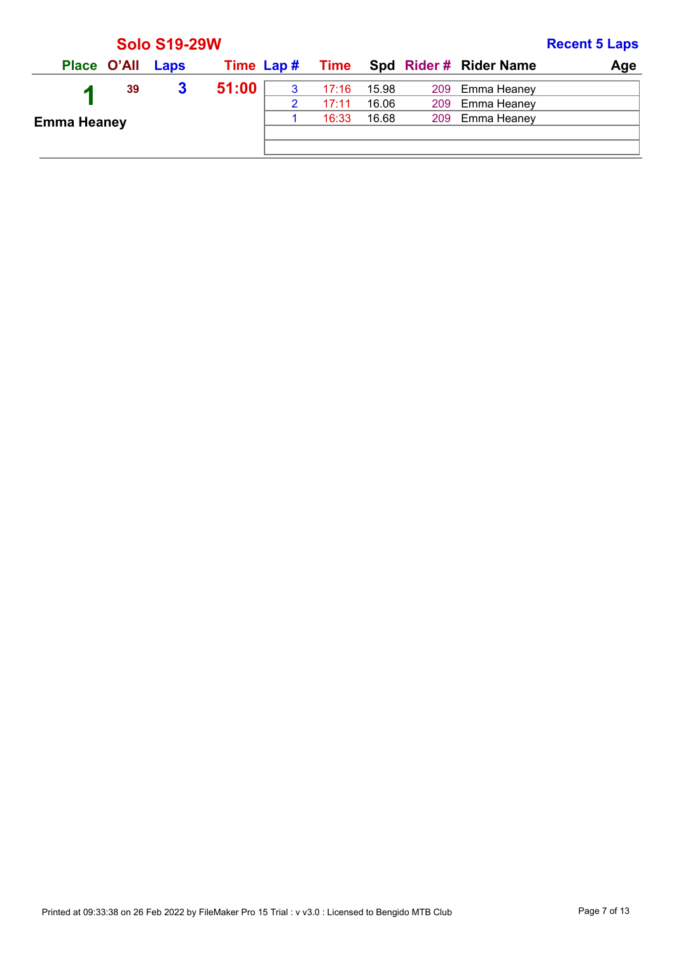|                    |                  | <b>Solo S19-29W</b> |           |       |       |                                    | <b>Recent 5 Laps</b> |
|--------------------|------------------|---------------------|-----------|-------|-------|------------------------------------|----------------------|
|                    | Place O'All Laps |                     | Time Lap# |       |       | <b>Time</b> Spd Rider # Rider Name | Age                  |
|                    | 39               | 3                   | 51:00     | 17:16 | 15.98 | 209 Emma Heaney                    |                      |
|                    |                  |                     |           | 17:11 | 16.06 | 209 Emma Heaney                    |                      |
| <b>Emma Heaney</b> |                  |                     |           | 16:33 | 16.68 | 209 Emma Heaney                    |                      |
|                    |                  |                     |           |       |       |                                    |                      |
|                    |                  |                     |           |       |       |                                    |                      |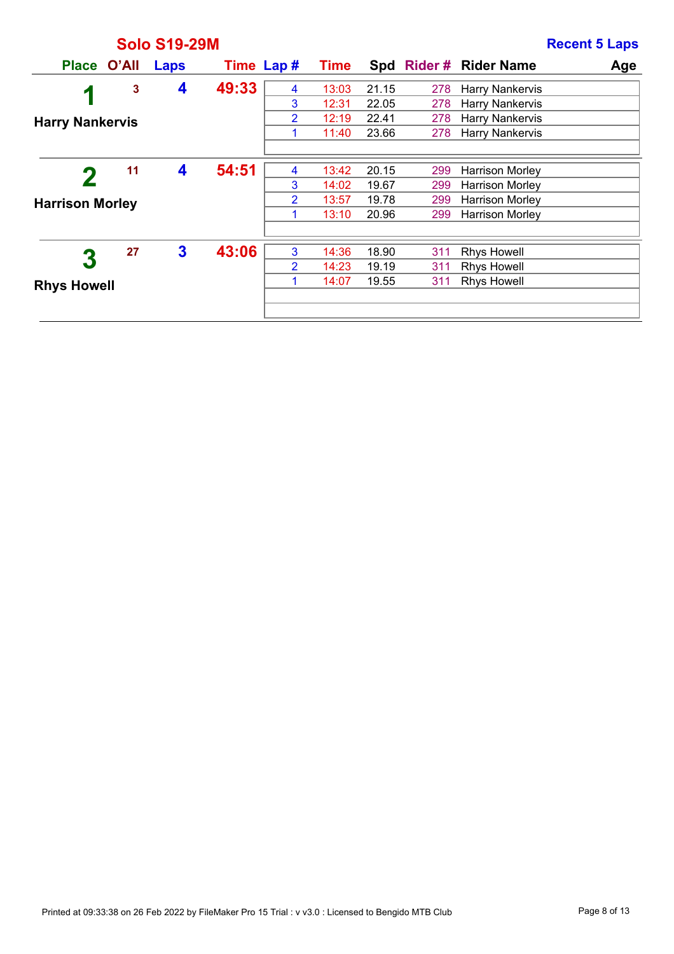|                        |    | <b>Solo S19-29M</b> |            |                |             |       |     |                        | <b>Recent 5 Laps</b> |
|------------------------|----|---------------------|------------|----------------|-------------|-------|-----|------------------------|----------------------|
| Place O'All            |    | Laps                | Time Lap # |                | <b>Time</b> |       |     | Spd Rider # Rider Name | Age                  |
| 4                      | 3  | 4                   | 49:33      | 4              | 13:03       | 21.15 | 278 | Harry Nankervis        |                      |
|                        |    |                     |            | 3              | 12:31       | 22.05 | 278 | <b>Harry Nankervis</b> |                      |
| <b>Harry Nankervis</b> |    |                     |            | 2              | 12:19       | 22.41 | 278 | <b>Harry Nankervis</b> |                      |
|                        |    |                     |            | 1              | 11:40       | 23.66 | 278 | <b>Harry Nankervis</b> |                      |
|                        |    |                     |            |                |             |       |     |                        |                      |
|                        | 11 | 4                   | 54:51      | 4              | 13:42       | 20.15 | 299 | <b>Harrison Morley</b> |                      |
|                        |    |                     |            | 3              | 14:02       | 19.67 | 299 | <b>Harrison Morley</b> |                      |
| <b>Harrison Morley</b> |    |                     |            | $\overline{2}$ | 13:57       | 19.78 | 299 | <b>Harrison Morley</b> |                      |
|                        |    |                     |            | 1              | 13:10       | 20.96 | 299 | <b>Harrison Morley</b> |                      |
|                        |    |                     |            |                |             |       |     |                        |                      |
| 3                      | 27 | 3                   | 43:06      | 3              | 14:36       | 18.90 | 311 | <b>Rhys Howell</b>     |                      |
|                        |    |                     |            | $\overline{2}$ | 14:23       | 19.19 | 311 | <b>Rhys Howell</b>     |                      |
| <b>Rhys Howell</b>     |    |                     |            | 1              | 14:07       | 19.55 | 311 | <b>Rhys Howell</b>     |                      |
|                        |    |                     |            |                |             |       |     |                        |                      |
|                        |    |                     |            |                |             |       |     |                        |                      |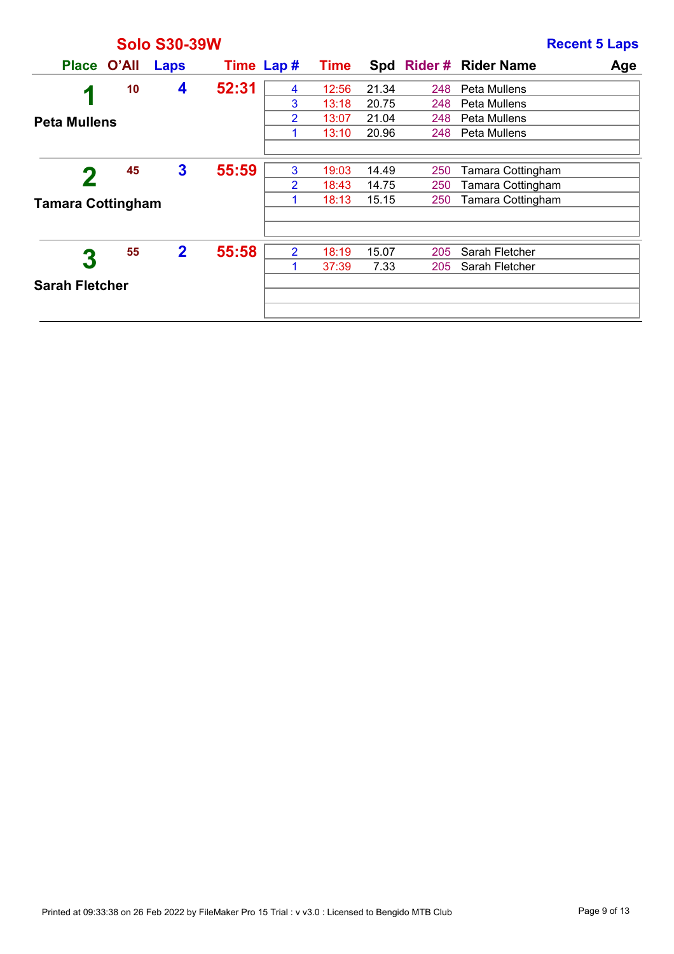|                          |    | <b>Solo S30-39W</b> |            |                |             |       |     |                       | <b>Recent 5 Laps</b> |
|--------------------------|----|---------------------|------------|----------------|-------------|-------|-----|-----------------------|----------------------|
| Place O'All              |    | Laps                | Time Lap # |                | <b>Time</b> |       |     | Spd Rider# Rider Name | Age                  |
| И                        | 10 | 4                   | 52:31      | 4              | 12:56       | 21.34 | 248 | Peta Mullens          |                      |
|                          |    |                     |            | 3              | 13:18       | 20.75 | 248 | Peta Mullens          |                      |
| <b>Peta Mullens</b>      |    |                     |            | $\overline{2}$ | 13:07       | 21.04 | 248 | Peta Mullens          |                      |
|                          |    |                     |            | 1              | 13:10       | 20.96 | 248 | Peta Mullens          |                      |
|                          |    |                     |            |                |             |       |     |                       |                      |
|                          | 45 | $\mathbf{3}$        | 55:59      | 3              | 19:03       | 14.49 | 250 | Tamara Cottingham     |                      |
|                          |    |                     |            | $\overline{2}$ | 18:43       | 14.75 | 250 | Tamara Cottingham     |                      |
| <b>Tamara Cottingham</b> |    |                     |            | 1              | 18:13       | 15.15 | 250 | Tamara Cottingham     |                      |
|                          |    |                     |            |                |             |       |     |                       |                      |
|                          |    |                     |            |                |             |       |     |                       |                      |
| $\bf{3}$                 | 55 | $\overline{2}$      | 55:58      | $\overline{2}$ | 18:19       | 15.07 | 205 | Sarah Fletcher        |                      |
|                          |    |                     |            | $\mathbf 1$    | 37:39       | 7.33  | 205 | Sarah Fletcher        |                      |
| <b>Sarah Fletcher</b>    |    |                     |            |                |             |       |     |                       |                      |
|                          |    |                     |            |                |             |       |     |                       |                      |
|                          |    |                     |            |                |             |       |     |                       |                      |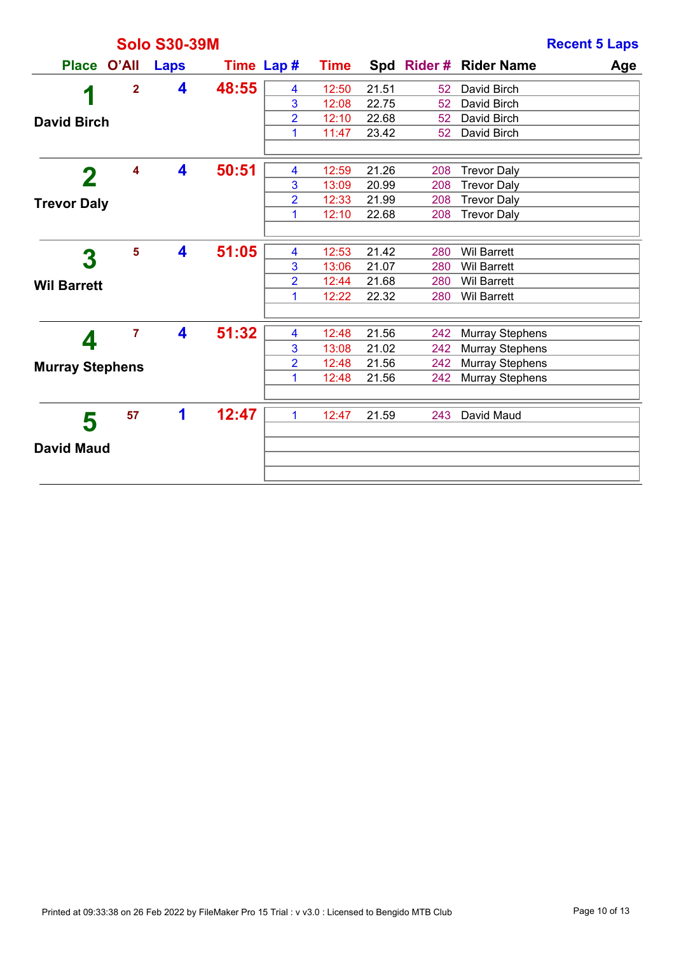|                        |                         | <b>Solo S30-39M</b> |            |                         |             |       |                 | <b>Recent 5 Laps</b>          |
|------------------------|-------------------------|---------------------|------------|-------------------------|-------------|-------|-----------------|-------------------------------|
| <b>Place</b>           | O'All                   | Laps                | Time Lap # |                         | <b>Time</b> |       |                 | Spd Rider # Rider Name<br>Age |
| 4                      | $\overline{2}$          | 4                   | 48:55      | 4                       | 12:50       | 21.51 | 52              | David Birch                   |
|                        |                         |                     |            | 3                       | 12:08       | 22.75 | 52              | David Birch                   |
| <b>David Birch</b>     |                         |                     |            | $\overline{2}$          | 12:10       | 22.68 | 52 <sub>2</sub> | David Birch                   |
|                        |                         |                     |            | 1                       | 11:47       | 23.42 | 52              | David Birch                   |
|                        | $\overline{\mathbf{4}}$ | 4                   | 50:51      | 4                       | 12:59       | 21.26 | 208             | <b>Trevor Daly</b>            |
| $\bf{2}$               |                         |                     |            | 3                       | 13:09       | 20.99 | 208             | <b>Trevor Daly</b>            |
| <b>Trevor Daly</b>     |                         |                     |            | $\overline{2}$          | 12:33       | 21.99 | 208             | <b>Trevor Daly</b>            |
|                        |                         |                     |            | 1                       | 12:10       | 22.68 | 208             | <b>Trevor Daly</b>            |
|                        |                         |                     |            |                         |             |       |                 |                               |
| 3                      | $5\phantom{a}$          | 4                   | 51:05      | $\overline{\mathbf{4}}$ | 12:53       | 21.42 | 280             | <b>Wil Barrett</b>            |
|                        |                         |                     |            | 3                       | 13:06       | 21.07 | 280             | <b>Wil Barrett</b>            |
| <b>Wil Barrett</b>     |                         |                     |            | $\overline{2}$          | 12:44       | 21.68 | 280             | <b>Wil Barrett</b>            |
|                        |                         |                     |            | 1                       | 12:22       | 22.32 | 280             | <b>Wil Barrett</b>            |
|                        |                         |                     |            |                         |             |       |                 |                               |
|                        | $\overline{7}$          | 4                   | 51:32      | $\overline{\mathbf{4}}$ | 12:48       | 21.56 | 242             | <b>Murray Stephens</b>        |
| 4                      |                         |                     |            | 3                       | 13:08       | 21.02 | 242             | <b>Murray Stephens</b>        |
| <b>Murray Stephens</b> |                         |                     |            | $\overline{2}$          | 12:48       | 21.56 | 242             | <b>Murray Stephens</b>        |
|                        |                         |                     |            | 1                       | 12:48       | 21.56 | 242             | <b>Murray Stephens</b>        |
|                        |                         |                     |            |                         |             |       |                 |                               |
| 5                      | 57                      | 1                   | 12:47      | $\mathbf{1}$            | 12:47       | 21.59 | 243             | David Maud                    |
|                        |                         |                     |            |                         |             |       |                 |                               |
| <b>David Maud</b>      |                         |                     |            |                         |             |       |                 |                               |
|                        |                         |                     |            |                         |             |       |                 |                               |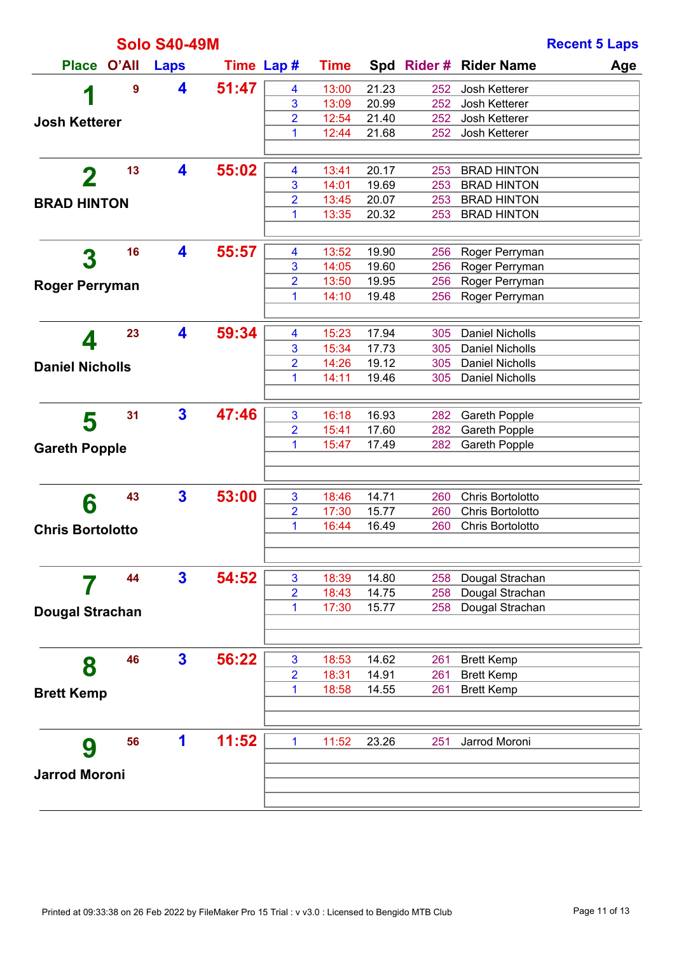|                         |       | <b>Solo S40-49M</b>     |            |                     |                |                |            |                                          | <b>Recent 5 Laps</b> |
|-------------------------|-------|-------------------------|------------|---------------------|----------------|----------------|------------|------------------------------------------|----------------------|
| <b>Place</b>            | O'All | <b>Laps</b>             | Time Lap # |                     | <b>Time</b>    |                |            | Spd Rider # Rider Name                   | Age                  |
| 1                       | 9     | 4                       | 51:47      | 4                   | 13:00          | 21.23          | 252        | Josh Ketterer                            |                      |
|                         |       |                         |            | 3                   | 13:09          | 20.99          | 252        | Josh Ketterer                            |                      |
| <b>Josh Ketterer</b>    |       |                         |            | 2                   | 12:54          | 21.40          | 252        | Josh Ketterer                            |                      |
|                         |       |                         |            | 1                   | 12:44          | 21.68          | 252        | Josh Ketterer                            |                      |
|                         |       |                         |            |                     |                |                |            |                                          |                      |
| $\mathbf 2$             | 13    | 4                       | 55:02      | 4                   | 13:41          | 20.17          | 253        | <b>BRAD HINTON</b>                       |                      |
|                         |       |                         |            | 3                   | 14:01          | 19.69          | 253        | <b>BRAD HINTON</b>                       |                      |
| <b>BRAD HINTON</b>      |       |                         |            | $\overline{2}$<br>1 | 13:45<br>13:35 | 20.07<br>20.32 | 253<br>253 | <b>BRAD HINTON</b><br><b>BRAD HINTON</b> |                      |
|                         |       |                         |            |                     |                |                |            |                                          |                      |
|                         | 16    | 4                       | 55:57      | 4                   | 13:52          | 19.90          | 256        | Roger Perryman                           |                      |
| 3                       |       |                         |            | 3                   | 14:05          | 19.60          | 256        | Roger Perryman                           |                      |
| <b>Roger Perryman</b>   |       |                         |            | 2                   | 13:50          | 19.95          | 256        | Roger Perryman                           |                      |
|                         |       |                         |            | 1                   | 14:10          | 19.48          | 256        | Roger Perryman                           |                      |
|                         |       |                         |            |                     |                |                |            |                                          |                      |
|                         | 23    | 4                       | 59:34      | 4                   | 15:23          | 17.94          | 305        | <b>Daniel Nicholls</b>                   |                      |
| 4                       |       |                         |            | 3                   | 15:34          | 17.73          | 305        | <b>Daniel Nicholls</b>                   |                      |
| <b>Daniel Nicholls</b>  |       |                         |            | 2                   | 14:26          | 19.12          | 305        | <b>Daniel Nicholls</b>                   |                      |
|                         |       |                         |            | 1                   | 14:11          | 19.46          | 305        | <b>Daniel Nicholls</b>                   |                      |
|                         |       |                         |            |                     |                |                |            |                                          |                      |
| 5                       | 31    | $\overline{\mathbf{3}}$ | 47:46      | 3                   | 16:18          | 16.93          | 282        | <b>Gareth Popple</b>                     |                      |
|                         |       |                         |            | $\overline{2}$      | 15:41          | 17.60          | 282        | Gareth Popple                            |                      |
| <b>Gareth Popple</b>    |       |                         |            | 1                   | 15:47          | 17.49          | 282        | Gareth Popple                            |                      |
|                         |       |                         |            |                     |                |                |            |                                          |                      |
|                         | 43    | $\overline{\mathbf{3}}$ | 53:00      | 3                   | 18:46          | 14.71          | 260        | Chris Bortolotto                         |                      |
| 6                       |       |                         |            | 2                   | 17:30          | 15.77          | 260        | Chris Bortolotto                         |                      |
| <b>Chris Bortolotto</b> |       |                         |            | 1                   | 16:44          | 16.49          | 260        | Chris Bortolotto                         |                      |
|                         |       |                         |            |                     |                |                |            |                                          |                      |
|                         |       |                         |            |                     |                |                |            |                                          |                      |
|                         | 44    | $\mathbf{3}$            | 54:52      | 3                   | 18:39          | 14.80          | 258        | Dougal Strachan                          |                      |
|                         |       |                         |            | $\overline{2}$      | 18:43          | 14.75          | 258        | Dougal Strachan                          |                      |
| <b>Dougal Strachan</b>  |       |                         |            | 1                   | 17:30          | 15.77          | 258        | Dougal Strachan                          |                      |
|                         |       |                         |            |                     |                |                |            |                                          |                      |
| 8                       | 46    | $\mathbf{3}$            | 56:22      | 3                   | 18:53          | 14.62          | 261        | <b>Brett Kemp</b>                        |                      |
|                         |       |                         |            | $\overline{2}$      | 18:31          | 14.91          | 261        | <b>Brett Kemp</b>                        |                      |
| <b>Brett Kemp</b>       |       |                         |            | 1                   | 18:58          | 14.55          | 261        | <b>Brett Kemp</b>                        |                      |
|                         |       |                         |            |                     |                |                |            |                                          |                      |
|                         | 56    | 1                       | 11:52      | $\mathbf{1}$        | 11:52          | 23.26          | 251        | Jarrod Moroni                            |                      |
| 9                       |       |                         |            |                     |                |                |            |                                          |                      |
| <b>Jarrod Moroni</b>    |       |                         |            |                     |                |                |            |                                          |                      |
|                         |       |                         |            |                     |                |                |            |                                          |                      |
|                         |       |                         |            |                     |                |                |            |                                          |                      |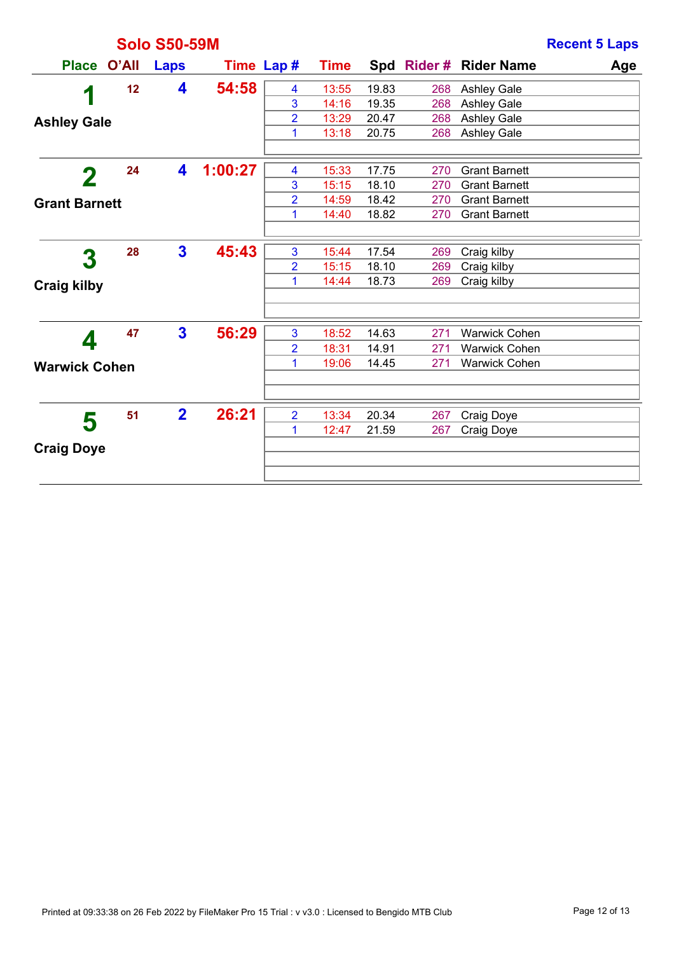|                      |       | <b>Solo S50-59M</b>     |         |                |             |       |     |                        | <b>Recent 5 Laps</b> |
|----------------------|-------|-------------------------|---------|----------------|-------------|-------|-----|------------------------|----------------------|
| <b>Place</b>         | O'All | <b>Laps</b>             |         | Time Lap #     | <b>Time</b> |       |     | Spd Rider # Rider Name | Age                  |
|                      | 12    | 4                       | 54:58   | 4              | 13:55       | 19.83 | 268 | <b>Ashley Gale</b>     |                      |
| 1                    |       |                         |         | 3              | 14:16       | 19.35 | 268 | <b>Ashley Gale</b>     |                      |
| <b>Ashley Gale</b>   |       |                         |         | $\overline{2}$ | 13:29       | 20.47 | 268 | <b>Ashley Gale</b>     |                      |
|                      |       |                         |         | 1              | 13:18       | 20.75 | 268 | <b>Ashley Gale</b>     |                      |
| 2                    | 24    | 4                       | 1:00:27 | 4              | 15:33       | 17.75 | 270 | <b>Grant Barnett</b>   |                      |
|                      |       |                         |         | 3              | 15:15       | 18.10 | 270 | <b>Grant Barnett</b>   |                      |
| <b>Grant Barnett</b> |       |                         |         | $\overline{2}$ | 14:59       | 18.42 | 270 | <b>Grant Barnett</b>   |                      |
|                      |       |                         |         | 1              | 14:40       | 18.82 | 270 | <b>Grant Barnett</b>   |                      |
|                      |       |                         |         |                |             |       |     |                        |                      |
| 3                    | 28    | $\mathbf{3}$            | 45:43   | 3              | 15:44       | 17.54 | 269 | Craig kilby            |                      |
|                      |       |                         |         | $\overline{2}$ | 15:15       | 18.10 | 269 | Craig kilby            |                      |
| <b>Craig kilby</b>   |       |                         |         | 1              | 14:44       | 18.73 | 269 | Craig kilby            |                      |
|                      |       |                         |         |                |             |       |     |                        |                      |
|                      | 47    | $\overline{\mathbf{3}}$ | 56:29   | 3              | 18:52       | 14.63 | 271 | <b>Warwick Cohen</b>   |                      |
| 4                    |       |                         |         | $\overline{2}$ | 18:31       | 14.91 | 271 | <b>Warwick Cohen</b>   |                      |
| <b>Warwick Cohen</b> |       |                         |         | 1              | 19:06       | 14.45 | 271 | <b>Warwick Cohen</b>   |                      |
|                      |       |                         |         |                |             |       |     |                        |                      |
| 5                    | 51    | $\overline{\mathbf{2}}$ | 26:21   | $\overline{2}$ | 13:34       | 20.34 | 267 | Craig Doye             |                      |
|                      |       |                         |         | 1              | 12:47       | 21.59 | 267 | Craig Doye             |                      |
| <b>Craig Doye</b>    |       |                         |         |                |             |       |     |                        |                      |
|                      |       |                         |         |                |             |       |     |                        |                      |